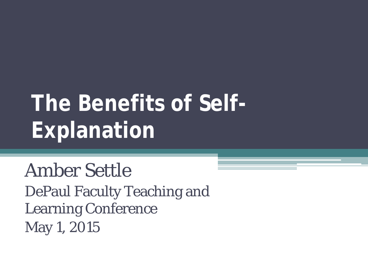# **The Benefits of Self-Explanation**

Amber Settle DePaul Faculty Teaching and Learning Conference May 1, 2015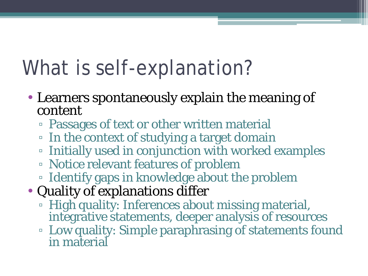## What is self-explanation?

- Learners spontaneously explain the meaning of content
	- Passages of text or other written material
	- In the context of studying a target domain
	- Initially used in conjunction with worked examples
	- Notice relevant features of problem
	- Identify gaps in knowledge about the problem
- Quality of explanations differ
	- High quality: Inferences about missing material, integrative statements, deeper analysis of resources
	- Low quality: Simple paraphrasing of statements found in material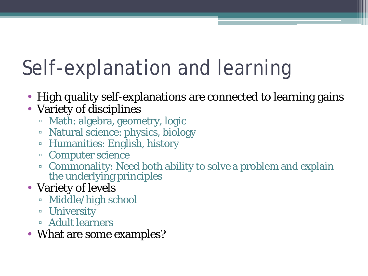# Self-explanation and learning

- High quality self-explanations are connected to learning gains
- Variety of disciplines
	- Math: algebra, geometry, logic
	- Natural science: physics, biology
	- Humanities: English, history
	- Computer science
	- Commonality: Need both ability to solve a problem and explain the underlying principles
- Variety of levels
	- Middle/high school
	- University
	- Adult learners
- What are some examples?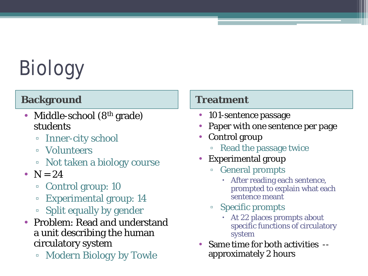# Biology

### **Background Treatment**

- Middle-school (8<sup>th</sup> grade) students
	- Inner-city school
	- Volunteers
	- Not taken a biology course
- $N = 24$ 
	- Control group: 10
	- Experimental group: 14
	- Split equally by gender
- Problem: Read and understand a unit describing the human circulatory system
	- *Modern Biology* by Towle

- 101-sentence passage
- Paper with one sentence per page
- Control group
	- Read the passage twice
- Experimental group
	- General prompts
		- After reading each sentence, prompted to explain what each sentence meant
	- Specific prompts
		- At 22 places prompts about specific functions of circulatory system
- Same time for both activities approximately 2 hours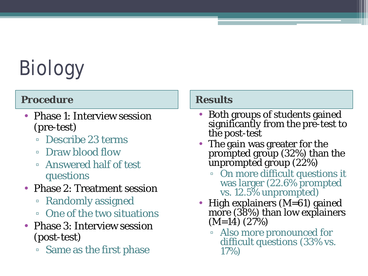# Biology

### **Procedure Results**

- Phase 1: Interview session (pre-test)
	- Describe 23 terms
	- Draw blood flow
	- Answered half of test questions
- Phase 2: Treatment session
	- Randomly assigned
	- One of the two situations
- Phase 3: Interview session (post-test)
	- Same as the first phase

- Both groups of students gained significantly from the pre-test to the post-test
- The gain was greater for the prompted group (32%) than the unprompted group (22%)
	- On more difficult questions it was larger (22.6% prompted vs. 12.5% unprompted)
- High explainers (M=61) gained more (38%) than low explainers (M=14) (27%)
	- Also more pronounced for difficult questions (33% vs. 17%)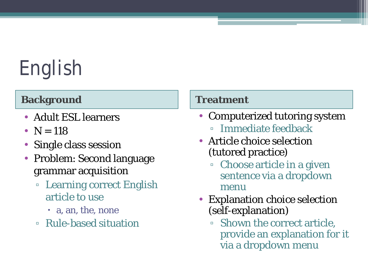# English

### **Background Treatment**

- Adult ESL learners
- $N = 118$
- Single class session
- Problem: Second language grammar acquisition
	- Learning correct English article to use
		- a, an, the, none
	- Rule-based situation

- Computerized tutoring system
	- Immediate feedback
- Article choice selection (tutored practice)
	- Choose article in a given sentence via a dropdown menu
- **Explanation choice selection** (self-explanation)
	- Shown the correct article, provide an explanation for it via a dropdown menu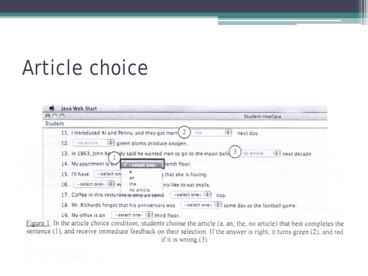## Article choice



Figure 1. In the article choice condition, students choose the article (a, an, the, no article) that best completes the sentence (1), and receive immediate feedback on their selection. If the answer is right, it turns green (2), and red if it is wrong  $(3)$ .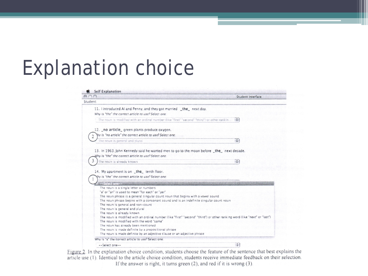## Explanation choice

| 000                                                                                                                                                                                | Student Interface |
|------------------------------------------------------------------------------------------------------------------------------------------------------------------------------------|-------------------|
| Student                                                                                                                                                                            |                   |
| 11. I introduced Al and Penny, and they got married _the_ next day.<br>Why is "the" the correct article to use? Select one:                                                        |                   |
| The noun is modified with an ordinal number (like "first" "second" "third") or other rankin.                                                                                       | $\frac{1}{2}$     |
| 12. no article green plants produce oxygen.                                                                                                                                        |                   |
| Yny is "no article" the correct article to use? Select one:                                                                                                                        |                   |
| The noun is general and plural                                                                                                                                                     |                   |
| 13. In 1963, John Kennedy said he wanted men to go to the moon before _the_ next decade.<br>Why is "the" the correct article to use? Select one:<br>3<br>The noun is already known |                   |
| 14. My apartment is on the tenth floor.                                                                                                                                            |                   |
| hy is "the" the correct article to use? Select one:                                                                                                                                |                   |
| <b>ANTICARTICO</b>                                                                                                                                                                 |                   |
| The noun is a single letter or numbers                                                                                                                                             |                   |
| "a" or "an" is used to mean "for each" or "per"                                                                                                                                    |                   |
| The noun phrase is a general singular count noun that begins with a vowel sound                                                                                                    |                   |
| The noun phrase begins with a consonant sound and is an indefinite singular count noun                                                                                             |                   |
| The noun is general and non-count                                                                                                                                                  |                   |
| The noun is general and plural                                                                                                                                                     |                   |
| The noun is already known                                                                                                                                                          |                   |
| The noun is modified with an ordinal number (like "first" "second" "third") or other ranking word (like "next" or "last")                                                          |                   |
| The noun is modified with the word "same"                                                                                                                                          |                   |
| The noun has already been mentioned                                                                                                                                                |                   |
| The noun is made definite by a prepositional phrase                                                                                                                                |                   |
| The noun is made definite by an adjective clause or an adjective phrase<br>Why is "a" the correct article to use? Select one.                                                      |                   |

Figure 2. In the explanation choice condition, students choose the feature of the sentence that best explains the article use (1). Identical to the article choice condition, students receive immediate feedback on their selection. If the answer is right, it turns green  $(2)$ , and red if it is wrong  $(3)$ .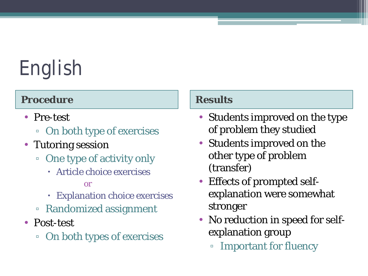# English

### **Procedure Results**

- Pre-test
	- On both type of exercises
- Tutoring session
	- One type of activity only
		- Article choice exercises

### or

- Explanation choice exercises
- Randomized assignment
- Post-test
	- On both types of exercises

- Students improved on the type of problem they studied
- Students improved on the other type of problem (transfer)
- Effects of prompted selfexplanation were somewhat stronger
- No reduction in speed for selfexplanation group
	- Important for fluency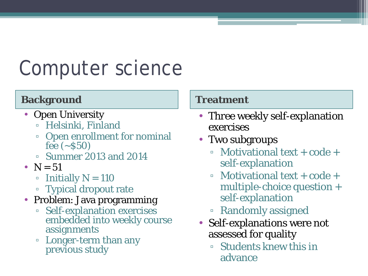## Computer science

### **Background Treatment**

- Open University
	- Helsinki, Finland
	- Open enrollment for nominal fee  $({\sim}550)$
	- Summer 2013 and 2014
- $N = 51$ 
	- $\blacksquare$  Initially N = 110
	- Typical dropout rate
- Problem: Java programming
	- Self-explanation exercises embedded into weekly course assignments
	- Longer-term than any previous study

- Three weekly self-explanation exercises
- Two subgroups
	- $\bullet$  Motivational text + code + self-explanation
	- $\bullet$  Motivational text + code + multiple-choice question + self-explanation
	- Randomly assigned
- Self-explanations were not assessed for quality
	- Students knew this in advance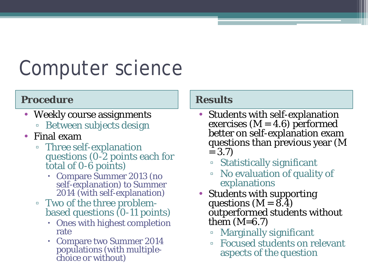## Computer science

### Procedure **Results**

- Weekly course assignments
	- Between subjects design
- Final exam
	- Three self-explanation questions (0-2 points each for total of 0-6 points)
		- Compare Summer 2013 (no self-explanation) to Summer<br>2014 (with self-explanation)
	- Two of the three problem- based questions (0-11 points)
		- Ones with highest completion rate
		- Compare two Summer 2014 populations (with multiple- choice or without)

- Students with self-explanation<br>exercises ( $M = 4.6$ ) performed<br>better on self-explanation exam questions than previous year (M  $= 3.7$ 
	- Statistically significant
	- No evaluation of quality of explanations
- Students with supporting questions  $(M = 8.4)$ outperformed students without them  $(M=6.7)$ 
	- Marginally significant
	- Focused students on relevant aspects of the question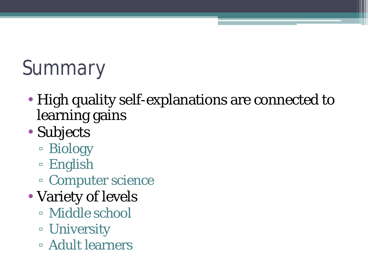# Summary

- High quality self-explanations are connected to learning gains
- Subjects
	- Biology
	- English
	- Computer science
- Variety of levels
	- Middle school
	- University
	- Adult learners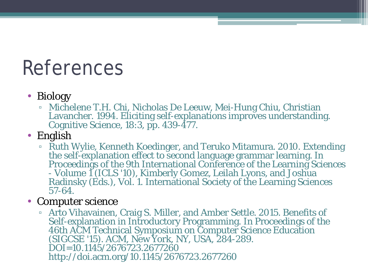## References

### • Biology

- Michelene T.H. Chi, Nicholas De Leeuw, Mei-Hung Chiu, Christian Lavancher. 1994. Eliciting self-explanations improves understanding. Cognitive Science, 18:3, pp. 439-477.
- English
	- Ruth Wylie, Kenneth Koedinger, and Teruko Mitamura. 2010. Extending the self-explanation effect to second language grammar learning. In Proceedings of the 9th International Conference of the Learning Sciences Volume 1 Radinsky (Eds.), Vol. 1. International Society of the Learning Sciences<br>57-64.

### • Computer science

<sup>•</sup> Arto Vihavainen, Craig S. Miller, and Amber Settle. 2015. Benefits of Self-explanation in Introductory Programming. In Proceedings of the (SIGCSE '15). ACM, New York, NY, USA, 284-289. DOI=10.1145/2676723.2677260 http://doi.acm.org/10.1145/2676723.2677260